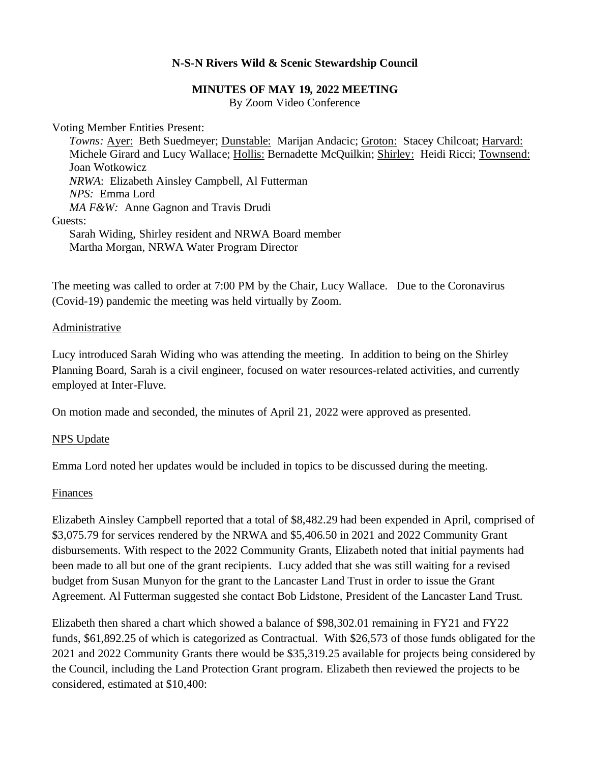### **N-S-N Rivers Wild & Scenic Stewardship Council**

### **MINUTES OF MAY 19, 2022 MEETING**

By Zoom Video Conference

Voting Member Entities Present:

*Towns:* Ayer: Beth Suedmeyer; Dunstable: Marijan Andacic; Groton: Stacey Chilcoat; Harvard: Michele Girard and Lucy Wallace; Hollis: Bernadette McQuilkin; Shirley: Heidi Ricci; Townsend: Joan Wotkowicz *NRWA*: Elizabeth Ainsley Campbell, Al Futterman *NPS:* Emma Lord *MA F&W:* Anne Gagnon and Travis Drudi Guests: Sarah Widing, Shirley resident and NRWA Board member Martha Morgan, NRWA Water Program Director

The meeting was called to order at 7:00 PM by the Chair, Lucy Wallace. Due to the Coronavirus (Covid-19) pandemic the meeting was held virtually by Zoom.

Administrative

Lucy introduced Sarah Widing who was attending the meeting. In addition to being on the Shirley Planning Board, Sarah is a civil engineer, focused on water resources-related activities, and currently employed at Inter-Fluve.

On motion made and seconded, the minutes of April 21, 2022 were approved as presented.

### NPS Update

Emma Lord noted her updates would be included in topics to be discussed during the meeting.

### Finances

Elizabeth Ainsley Campbell reported that a total of \$8,482.29 had been expended in April, comprised of \$3,075.79 for services rendered by the NRWA and \$5,406.50 in 2021 and 2022 Community Grant disbursements. With respect to the 2022 Community Grants, Elizabeth noted that initial payments had been made to all but one of the grant recipients. Lucy added that she was still waiting for a revised budget from Susan Munyon for the grant to the Lancaster Land Trust in order to issue the Grant Agreement. Al Futterman suggested she contact Bob Lidstone, President of the Lancaster Land Trust.

Elizabeth then shared a chart which showed a balance of \$98,302.01 remaining in FY21 and FY22 funds, \$61,892.25 of which is categorized as Contractual. With \$26,573 of those funds obligated for the 2021 and 2022 Community Grants there would be \$35,319.25 available for projects being considered by the Council, including the Land Protection Grant program. Elizabeth then reviewed the projects to be considered, estimated at \$10,400: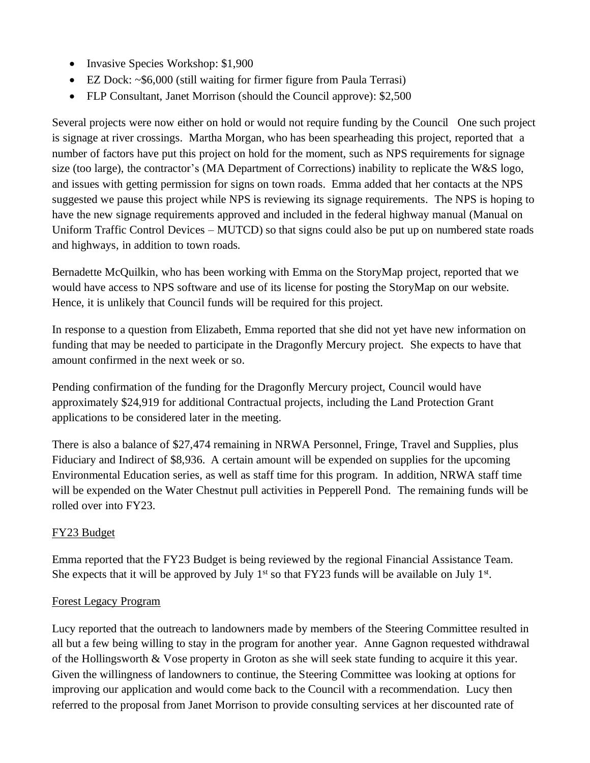- Invasive Species Workshop: \$1,900
- EZ Dock: ~\$6,000 (still waiting for firmer figure from Paula Terrasi)
- FLP Consultant, Janet Morrison (should the Council approve): \$2,500

Several projects were now either on hold or would not require funding by the Council One such project is signage at river crossings. Martha Morgan, who has been spearheading this project, reported that a number of factors have put this project on hold for the moment, such as NPS requirements for signage size (too large), the contractor's (MA Department of Corrections) inability to replicate the W&S logo, and issues with getting permission for signs on town roads. Emma added that her contacts at the NPS suggested we pause this project while NPS is reviewing its signage requirements. The NPS is hoping to have the new signage requirements approved and included in the federal highway manual (Manual on Uniform Traffic Control Devices – MUTCD) so that signs could also be put up on numbered state roads and highways, in addition to town roads.

Bernadette McQuilkin, who has been working with Emma on the StoryMap project, reported that we would have access to NPS software and use of its license for posting the StoryMap on our website. Hence, it is unlikely that Council funds will be required for this project.

In response to a question from Elizabeth, Emma reported that she did not yet have new information on funding that may be needed to participate in the Dragonfly Mercury project. She expects to have that amount confirmed in the next week or so.

Pending confirmation of the funding for the Dragonfly Mercury project, Council would have approximately \$24,919 for additional Contractual projects, including the Land Protection Grant applications to be considered later in the meeting.

There is also a balance of \$27,474 remaining in NRWA Personnel, Fringe, Travel and Supplies, plus Fiduciary and Indirect of \$8,936. A certain amount will be expended on supplies for the upcoming Environmental Education series, as well as staff time for this program. In addition, NRWA staff time will be expended on the Water Chestnut pull activities in Pepperell Pond. The remaining funds will be rolled over into FY23.

# FY23 Budget

Emma reported that the FY23 Budget is being reviewed by the regional Financial Assistance Team. She expects that it will be approved by July  $1<sup>st</sup>$  so that FY23 funds will be available on July  $1<sup>st</sup>$ .

## Forest Legacy Program

Lucy reported that the outreach to landowners made by members of the Steering Committee resulted in all but a few being willing to stay in the program for another year. Anne Gagnon requested withdrawal of the Hollingsworth & Vose property in Groton as she will seek state funding to acquire it this year. Given the willingness of landowners to continue, the Steering Committee was looking at options for improving our application and would come back to the Council with a recommendation. Lucy then referred to the proposal from Janet Morrison to provide consulting services at her discounted rate of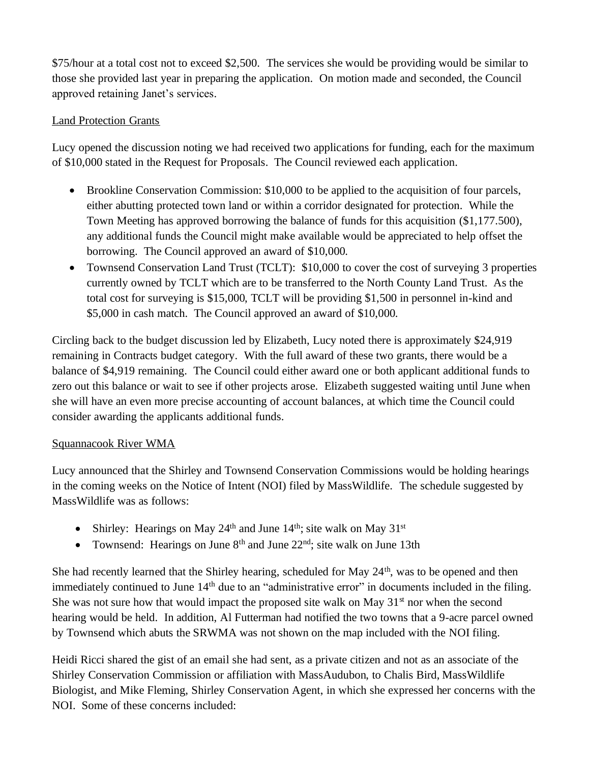\$75/hour at a total cost not to exceed \$2,500. The services she would be providing would be similar to those she provided last year in preparing the application. On motion made and seconded, the Council approved retaining Janet's services.

## Land Protection Grants

Lucy opened the discussion noting we had received two applications for funding, each for the maximum of \$10,000 stated in the Request for Proposals. The Council reviewed each application.

- Brookline Conservation Commission: \$10,000 to be applied to the acquisition of four parcels, either abutting protected town land or within a corridor designated for protection. While the Town Meeting has approved borrowing the balance of funds for this acquisition (\$1,177.500), any additional funds the Council might make available would be appreciated to help offset the borrowing. The Council approved an award of \$10,000.
- Townsend Conservation Land Trust (TCLT): \$10,000 to cover the cost of surveying 3 properties currently owned by TCLT which are to be transferred to the North County Land Trust. As the total cost for surveying is \$15,000, TCLT will be providing \$1,500 in personnel in-kind and \$5,000 in cash match. The Council approved an award of \$10,000.

Circling back to the budget discussion led by Elizabeth, Lucy noted there is approximately \$24,919 remaining in Contracts budget category. With the full award of these two grants, there would be a balance of \$4,919 remaining. The Council could either award one or both applicant additional funds to zero out this balance or wait to see if other projects arose. Elizabeth suggested waiting until June when she will have an even more precise accounting of account balances, at which time the Council could consider awarding the applicants additional funds.

## Squannacook River WMA

Lucy announced that the Shirley and Townsend Conservation Commissions would be holding hearings in the coming weeks on the Notice of Intent (NOI) filed by MassWildlife. The schedule suggested by MassWildlife was as follows:

- Shirley: Hearings on May 24<sup>th</sup> and June  $14<sup>th</sup>$ ; site walk on May  $31<sup>st</sup>$
- Townsend: Hearings on June  $8<sup>th</sup>$  and June  $22<sup>nd</sup>$ ; site walk on June 13th

She had recently learned that the Shirley hearing, scheduled for May 24<sup>th</sup>, was to be opened and then immediately continued to June 14<sup>th</sup> due to an "administrative error" in documents included in the filing. She was not sure how that would impact the proposed site walk on May  $31<sup>st</sup>$  nor when the second hearing would be held. In addition, Al Futterman had notified the two towns that a 9-acre parcel owned by Townsend which abuts the SRWMA was not shown on the map included with the NOI filing.

Heidi Ricci shared the gist of an email she had sent, as a private citizen and not as an associate of the Shirley Conservation Commission or affiliation with MassAudubon, to Chalis Bird, MassWildlife Biologist, and Mike Fleming, Shirley Conservation Agent, in which she expressed her concerns with the NOI. Some of these concerns included: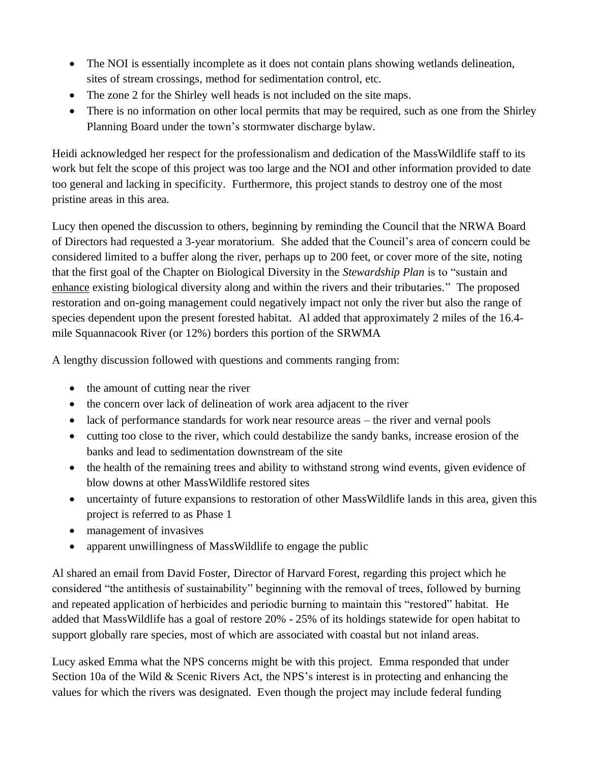- The NOI is essentially incomplete as it does not contain plans showing wetlands delineation, sites of stream crossings, method for sedimentation control, etc.
- The zone 2 for the Shirley well heads is not included on the site maps.
- There is no information on other local permits that may be required, such as one from the Shirley Planning Board under the town's stormwater discharge bylaw.

Heidi acknowledged her respect for the professionalism and dedication of the MassWildlife staff to its work but felt the scope of this project was too large and the NOI and other information provided to date too general and lacking in specificity. Furthermore, this project stands to destroy one of the most pristine areas in this area.

Lucy then opened the discussion to others, beginning by reminding the Council that the NRWA Board of Directors had requested a 3-year moratorium. She added that the Council's area of concern could be considered limited to a buffer along the river, perhaps up to 200 feet, or cover more of the site, noting that the first goal of the Chapter on Biological Diversity in the *Stewardship Plan* is to "sustain and enhance existing biological diversity along and within the rivers and their tributaries." The proposed restoration and on-going management could negatively impact not only the river but also the range of species dependent upon the present forested habitat. Al added that approximately 2 miles of the 16.4 mile Squannacook River (or 12%) borders this portion of the SRWMA

A lengthy discussion followed with questions and comments ranging from:

- the amount of cutting near the river
- the concern over lack of delineation of work area adjacent to the river
- lack of performance standards for work near resource areas the river and vernal pools
- cutting too close to the river, which could destabilize the sandy banks, increase erosion of the banks and lead to sedimentation downstream of the site
- the health of the remaining trees and ability to withstand strong wind events, given evidence of blow downs at other MassWildlife restored sites
- uncertainty of future expansions to restoration of other Mass Wildlife lands in this area, given this project is referred to as Phase 1
- management of invasives
- apparent unwillingness of MassWildlife to engage the public

Al shared an email from David Foster, Director of Harvard Forest, regarding this project which he considered "the antithesis of sustainability" beginning with the removal of trees, followed by burning and repeated application of herbicides and periodic burning to maintain this "restored" habitat. He added that MassWildlife has a goal of restore 20% - 25% of its holdings statewide for open habitat to support globally rare species, most of which are associated with coastal but not inland areas.

Lucy asked Emma what the NPS concerns might be with this project. Emma responded that under Section 10a of the Wild & Scenic Rivers Act, the NPS's interest is in protecting and enhancing the values for which the rivers was designated. Even though the project may include federal funding